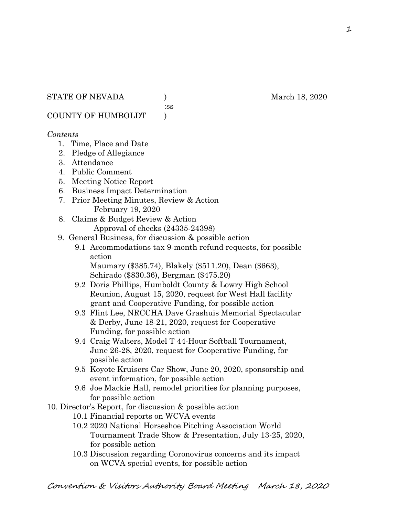:ss

COUNTY OF HUMBOLDT )

#### *Contents*

- 1. Time, Place and Date
- 2. Pledge of Allegiance
- 3. Attendance
- 4. Public Comment
- 5. Meeting Notice Report
- 6. Business Impact Determination
- 7. Prior Meeting Minutes, Review & Action February 19, 2020
- 8. Claims & Budget Review & Action
	- Approval of checks (24335-24398)
- 9. General Business, for discussion & possible action
	- 9.1 Accommodations tax 9-month refund requests, for possible action

 Maumary (\$385.74), Blakely (\$511.20), Dean (\$663), Schirado (\$830.36), Bergman (\$475.20)

- 9.2 Doris Phillips, Humboldt County & Lowry High School Reunion, August 15, 2020, request for West Hall facility grant and Cooperative Funding, for possible action
- 9.3 Flint Lee, NRCCHA Dave Grashuis Memorial Spectacular & Derby, June 18-21, 2020, request for Cooperative Funding, for possible action
- 9.4 Craig Walters, Model T 44-Hour Softball Tournament, June 26-28, 2020, request for Cooperative Funding, for possible action
- 9.5 Koyote Kruisers Car Show, June 20, 2020, sponsorship and event information, for possible action
- 9.6 Joe Mackie Hall, remodel priorities for planning purposes, for possible action
- 10. Director's Report, for discussion & possible action
	- 10.1 Financial reports on WCVA events
	- 10.2 2020 National Horseshoe Pitching Association World Tournament Trade Show & Presentation, July 13-25, 2020, for possible action
	- 10.3 Discussion regarding Coronovirus concerns and its impact on WCVA special events, for possible action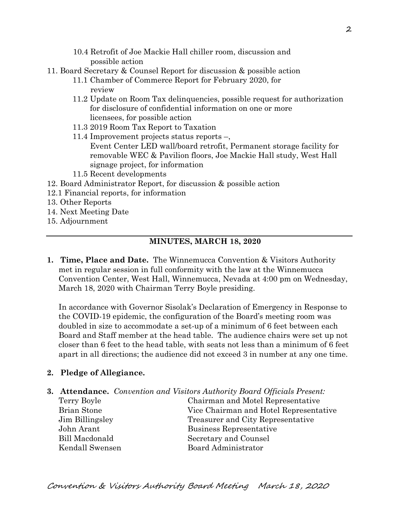- 10.4 Retrofit of Joe Mackie Hall chiller room, discussion and possible action
- 11. Board Secretary & Counsel Report for discussion & possible action
	- 11.1 Chamber of Commerce Report for February 2020, for review
	- 11.2 Update on Room Tax delinquencies, possible request for authorization for disclosure of confidential information on one or more licensees, for possible action
	- 11.3 2019 Room Tax Report to Taxation
	- 11.4 Improvement projects status reports –, Event Center LED wall/board retrofit, Permanent storage facility for removable WEC & Pavilion floors, Joe Mackie Hall study, West Hall signage project, for information
	- 11.5 Recent developments
- 12. Board Administrator Report, for discussion & possible action
- 12.1 Financial reports, for information
- 13. Other Reports
- 14. Next Meeting Date
- 15. Adjournment

# **MINUTES, MARCH 18, 2020**

**1. Time, Place and Date.** The Winnemucca Convention & Visitors Authority met in regular session in full conformity with the law at the Winnemucca Convention Center, West Hall, Winnemucca, Nevada at 4:00 pm on Wednesday, March 18, 2020 with Chairman Terry Boyle presiding.

In accordance with Governor Sisolak's Declaration of Emergency in Response to the COVID-19 epidemic, the configuration of the Board's meeting room was doubled in size to accommodate a set-up of a minimum of 6 feet between each Board and Staff member at the head table. The audience chairs were set up not closer than 6 feet to the head table, with seats not less than a minimum of 6 feet apart in all directions; the audience did not exceed 3 in number at any one time.

# **2. Pledge of Allegiance.**

- **3. Attendance.** *Convention and Visitors Authority Board Officials Present:*
	-

Terry Boyle Chairman and Motel Representative Brian Stone Vice Chairman and Hotel Representative Jim Billingsley Treasurer and City Representative John Arant Business Representative Bill Macdonald Secretary and Counsel Kendall Swensen Board Administrator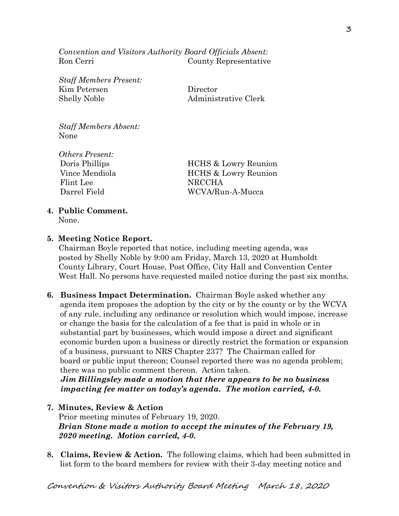*Convention and Visitors Authority Board Officials Absent:* Ron Cerri County Representative

*Staff Members Present:* Kim Petersen Director Shelly Noble Administrative Clerk

*Staff Members Absent:* None

*Others Present:* Flint Lee NRCCHA

Doris Phillips HCHS & Lowry Reunion Vince Mendiola **HCHS** & Lowry Reunion Darrel Field WCVA/Run-A-Mucca

# **4. Public Comment.**

None.

# **5. Meeting Notice Report.**

Chairman Boyle reported that notice, including meeting agenda, was posted by Shelly Noble by 9:00 am Friday, March 13, 2020 at Humboldt County Library, Court House, Post Office, City Hall and Convention Center West Hall. No persons have requested mailed notice during the past six months.

**6. Business Impact Determination.** Chairman Boyle asked whether any agenda item proposes the adoption by the city or by the county or by the WCVA of any rule, including any ordinance or resolution which would impose, increase or change the basis for the calculation of a fee that is paid in whole or in substantial part by businesses, which would impose a direct and significant economic burden upon a business or directly restrict the formation or expansion of a business, pursuant to NRS Chapter 237? The Chairman called for board or public input thereon; Counsel reported there was no agenda problem; there was no public comment thereon. Action taken.

 *Jim Billingsley made a motion that there appears to be no business impacting fee matter on today's agenda. The motion carried, 4-0.* 

#### **7. Minutes, Review & Action**

Prior meeting minutes of February 19, 2020. *Brian Stone made a motion to accept the minutes of the February 19, 2020 meeting. Motion carried, 4-0.* 

**8. Claims, Review & Action.** The following claims, which had been submitted in list form to the board members for review with their 3-day meeting notice and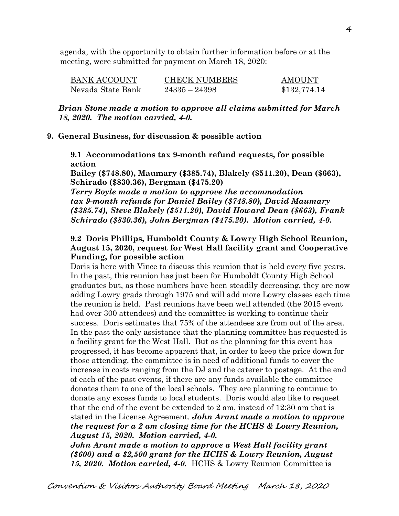agenda, with the opportunity to obtain further information before or at the meeting, were submitted for payment on March 18, 2020:

| BANK ACCOUNT      | <b>CHECK NUMBERS</b> | <b>AMOUNT</b> |
|-------------------|----------------------|---------------|
| Nevada State Bank | $24335 - 24398$      | \$132,774.14  |

*Brian Stone made a motion to approve all claims submitted for March 18, 2020. The motion carried, 4-0.*

#### **9. General Business, for discussion & possible action**

**9.1 Accommodations tax 9-month refund requests, for possible action**

**Bailey (\$748.80), Maumary (\$385.74), Blakely (\$511.20), Dean (\$663), Schirado (\$830.36), Bergman (\$475.20)**

*Terry Boyle made a motion to approve the accommodation tax 9-month refunds for Daniel Bailey (\$748.80), David Maumary (\$385.74), Steve Blakely (\$511.20), David Howard Dean (\$663), Frank Schirado (\$830.36), John Bergman (\$475.20). Motion carried, 4-0.*

#### **9.2 Doris Phillips, Humboldt County & Lowry High School Reunion, August 15, 2020, request for West Hall facility grant and Cooperative Funding, for possible action**

Doris is here with Vince to discuss this reunion that is held every five years. In the past, this reunion has just been for Humboldt County High School graduates but, as those numbers have been steadily decreasing, they are now adding Lowry grads through 1975 and will add more Lowry classes each time the reunion is held. Past reunions have been well attended (the 2015 event had over 300 attendees) and the committee is working to continue their success. Doris estimates that 75% of the attendees are from out of the area. In the past the only assistance that the planning committee has requested is a facility grant for the West Hall. But as the planning for this event has progressed, it has become apparent that, in order to keep the price down for those attending, the committee is in need of additional funds to cover the increase in costs ranging from the DJ and the caterer to postage. At the end of each of the past events, if there are any funds available the committee donates them to one of the local schools. They are planning to continue to donate any excess funds to local students. Doris would also like to request that the end of the event be extended to 2 am, instead of 12:30 am that is stated in the License Agreement. *John Arant made a motion to approve the request for a 2 am closing time for the HCHS & Lowry Reunion, August 15, 2020. Motion carried, 4-0.* 

*John Arant made a motion to approve a West Hall facility grant (\$600) and a \$2,500 grant for the HCHS & Lowry Reunion, August 15, 2020. Motion carried, 4-0.* HCHS & Lowry Reunion Committee is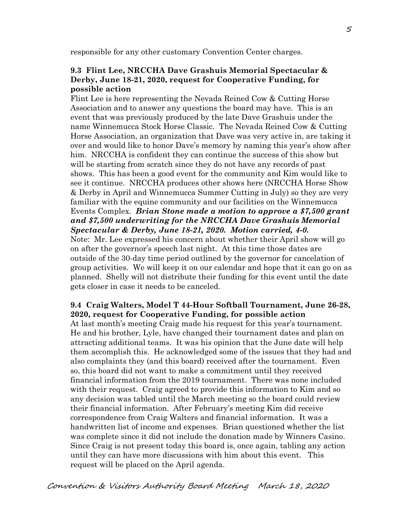responsible for any other customary Convention Center charges.

#### **9.3 Flint Lee, NRCCHA Dave Grashuis Memorial Spectacular & Derby, June 18-21, 2020, request for Cooperative Funding, for possible action**

Flint Lee is here representing the Nevada Reined Cow & Cutting Horse Association and to answer any questions the board may have. This is an event that was previously produced by the late Dave Grashuis under the name Winnemucca Stock Horse Classic. The Nevada Reined Cow & Cutting Horse Association, an organization that Dave was very active in, are taking it over and would like to honor Dave's memory by naming this year's show after him. NRCCHA is confident they can continue the success of this show but will be starting from scratch since they do not have any records of past shows. This has been a good event for the community and Kim would like to see it continue. NRCCHA produces other shows here (NRCCHA Horse Show & Derby in April and Winnemucca Summer Cutting in July) so they are very familiar with the equine community and our facilities on the Winnemucca Events Complex. *Brian Stone made a motion to approve a \$7,500 grant and \$7,500 underwriting for the NRCCHA Dave Grashuis Memorial Spectacular & Derby, June 18-21, 2020. Motion carried, 4-0.* 

Note: Mr. Lee expressed his concern about whether their April show will go on after the governor's speech last night. At this time those dates are outside of the 30-day time period outlined by the governor for cancelation of group activities. We will keep it on our calendar and hope that it can go on as planned. Shelly will not distribute their funding for this event until the date gets closer in case it needs to be canceled.

# **9.4 Craig Walters, Model T 44-Hour Softball Tournament, June 26-28, 2020, request for Cooperative Funding, for possible action**

At last month's meeting Craig made his request for this year's tournament. He and his brother, Lyle, have changed their tournament dates and plan on attracting additional teams. It was his opinion that the June date will help them accomplish this. He acknowledged some of the issues that they had and also complaints they (and this board) received after the tournament. Even so, this board did not want to make a commitment until they received financial information from the 2019 tournament. There was none included with their request. Craig agreed to provide this information to Kim and so any decision was tabled until the March meeting so the board could review their financial information. After February's meeting Kim did receive correspondence from Craig Walters and financial information. It was a handwritten list of income and expenses. Brian questioned whether the list was complete since it did not include the donation made by Winners Casino. Since Craig is not present today this board is, once again, tabling any action until they can have more discussions with him about this event. This request will be placed on the April agenda.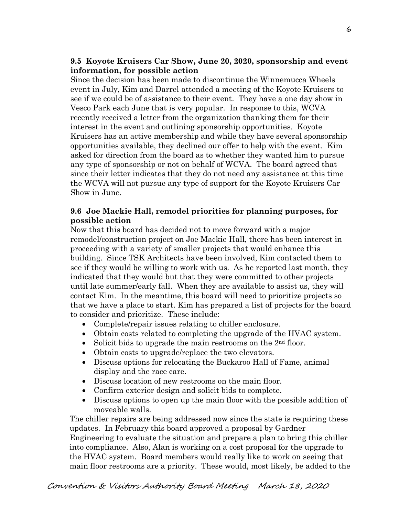# **9.5 Koyote Kruisers Car Show, June 20, 2020, sponsorship and event information, for possible action**

Since the decision has been made to discontinue the Winnemucca Wheels event in July, Kim and Darrel attended a meeting of the Koyote Kruisers to see if we could be of assistance to their event. They have a one day show in Vesco Park each June that is very popular. In response to this, WCVA recently received a letter from the organization thanking them for their interest in the event and outlining sponsorship opportunities. Koyote Kruisers has an active membership and while they have several sponsorship opportunities available, they declined our offer to help with the event. Kim asked for direction from the board as to whether they wanted him to pursue any type of sponsorship or not on behalf of WCVA. The board agreed that since their letter indicates that they do not need any assistance at this time the WCVA will not pursue any type of support for the Koyote Kruisers Car Show in June.

# **9.6 Joe Mackie Hall, remodel priorities for planning purposes, for possible action**

Now that this board has decided not to move forward with a major remodel/construction project on Joe Mackie Hall, there has been interest in proceeding with a variety of smaller projects that would enhance this building. Since TSK Architects have been involved, Kim contacted them to see if they would be willing to work with us. As he reported last month, they indicated that they would but that they were committed to other projects until late summer/early fall. When they are available to assist us, they will contact Kim. In the meantime, this board will need to prioritize projects so that we have a place to start. Kim has prepared a list of projects for the board to consider and prioritize. These include:

- Complete/repair issues relating to chiller enclosure.
- Obtain costs related to completing the upgrade of the HVAC system.
- Solicit bids to upgrade the main restrooms on the  $2<sup>nd</sup>$  floor.
- Obtain costs to upgrade/replace the two elevators.
- Discuss options for relocating the Buckaroo Hall of Fame, animal display and the race care.
- Discuss location of new restrooms on the main floor.
- Confirm exterior design and solicit bids to complete.
- Discuss options to open up the main floor with the possible addition of moveable walls.

 The chiller repairs are being addressed now since the state is requiring these updates. In February this board approved a proposal by Gardner Engineering to evaluate the situation and prepare a plan to bring this chiller into compliance. Also, Alan is working on a cost proposal for the upgrade to the HVAC system. Board members would really like to work on seeing that main floor restrooms are a priority. These would, most likely, be added to the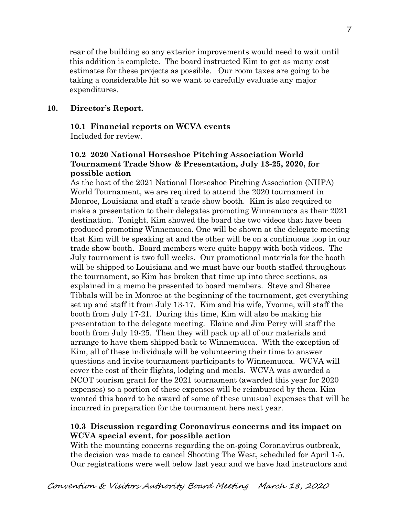rear of the building so any exterior improvements would need to wait until this addition is complete. The board instructed Kim to get as many cost estimates for these projects as possible. Our room taxes are going to be taking a considerable hit so we want to carefully evaluate any major expenditures.

# **10. Director's Report.**

#### **10.1 Financial reports on WCVA events**

Included for review.

# **10.2 2020 National Horseshoe Pitching Association World Tournament Trade Show & Presentation, July 13-25, 2020, for possible action**

As the host of the 2021 National Horseshoe Pitching Association (NHPA) World Tournament, we are required to attend the 2020 tournament in Monroe, Louisiana and staff a trade show booth. Kim is also required to make a presentation to their delegates promoting Winnemucca as their 2021 destination. Tonight, Kim showed the board the two videos that have been produced promoting Winnemucca. One will be shown at the delegate meeting that Kim will be speaking at and the other will be on a continuous loop in our trade show booth. Board members were quite happy with both videos. The July tournament is two full weeks. Our promotional materials for the booth will be shipped to Louisiana and we must have our booth staffed throughout the tournament, so Kim has broken that time up into three sections, as explained in a memo he presented to board members. Steve and Sheree Tibbals will be in Monroe at the beginning of the tournament, get everything set up and staff it from July 13-17. Kim and his wife, Yvonne, will staff the booth from July 17-21. During this time, Kim will also be making his presentation to the delegate meeting. Elaine and Jim Perry will staff the booth from July 19-25. Then they will pack up all of our materials and arrange to have them shipped back to Winnemucca. With the exception of Kim, all of these individuals will be volunteering their time to answer questions and invite tournament participants to Winnemucca. WCVA will cover the cost of their flights, lodging and meals. WCVA was awarded a NCOT tourism grant for the 2021 tournament (awarded this year for 2020 expenses) so a portion of these expenses will be reimbursed by them. Kim wanted this board to be award of some of these unusual expenses that will be incurred in preparation for the tournament here next year.

#### **10.3 Discussion regarding Coronavirus concerns and its impact on WCVA special event, for possible action**

With the mounting concerns regarding the on-going Coronavirus outbreak, the decision was made to cancel Shooting The West, scheduled for April 1-5. Our registrations were well below last year and we have had instructors and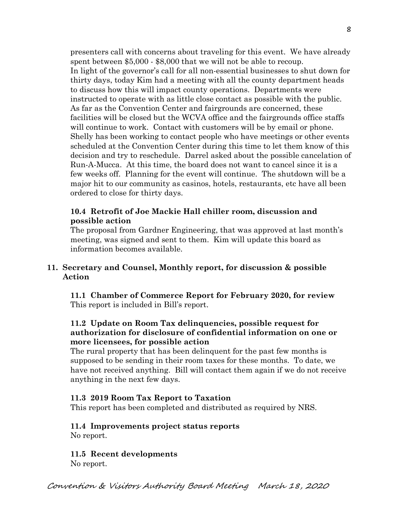presenters call with concerns about traveling for this event. We have already spent between \$5,000 - \$8,000 that we will not be able to recoup. In light of the governor's call for all non-essential businesses to shut down for thirty days, today Kim had a meeting with all the county department heads to discuss how this will impact county operations. Departments were instructed to operate with as little close contact as possible with the public. As far as the Convention Center and fairgrounds are concerned, these facilities will be closed but the WCVA office and the fairgrounds office staffs will continue to work. Contact with customers will be by email or phone. Shelly has been working to contact people who have meetings or other events scheduled at the Convention Center during this time to let them know of this decision and try to reschedule. Darrel asked about the possible cancelation of Run-A-Mucca. At this time, the board does not want to cancel since it is a few weeks off. Planning for the event will continue. The shutdown will be a major hit to our community as casinos, hotels, restaurants, etc have all been ordered to close for thirty days.

# **10.4 Retrofit of Joe Mackie Hall chiller room, discussion and possible action**

The proposal from Gardner Engineering, that was approved at last month's meeting, was signed and sent to them. Kim will update this board as information becomes available.

# **11. Secretary and Counsel, Monthly report, for discussion & possible Action**

 **11.1 Chamber of Commerce Report for February 2020, for review** This report is included in Bill's report.

# **11.2 Update on Room Tax delinquencies, possible request for authorization for disclosure of confidential information on one or more licensees, for possible action**

The rural property that has been delinquent for the past few months is supposed to be sending in their room taxes for these months. To date, we have not received anything. Bill will contact them again if we do not receive anything in the next few days.

# **11.3 2019 Room Tax Report to Taxation**

This report has been completed and distributed as required by NRS.

# **11.4 Improvements project status reports**

No report.

#### **11.5 Recent developments** No report.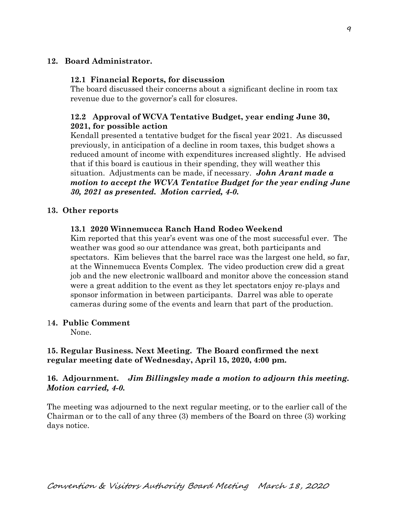# **12. Board Administrator.**

# **12.1 Financial Reports, for discussion**

The board discussed their concerns about a significant decline in room tax revenue due to the governor's call for closures.

# **12.2 Approval of WCVA Tentative Budget, year ending June 30, 2021, for possible action**

Kendall presented a tentative budget for the fiscal year 2021. As discussed previously, in anticipation of a decline in room taxes, this budget shows a reduced amount of income with expenditures increased slightly. He advised that if this board is cautious in their spending, they will weather this situation. Adjustments can be made, if necessary. *John Arant made a motion to accept the WCVA Tentative Budget for the year ending June 30, 2021 as presented. Motion carried, 4-0.*

# **13. Other reports**

#### **13.1 2020 Winnemucca Ranch Hand Rodeo Weekend**

Kim reported that this year's event was one of the most successful ever. The weather was good so our attendance was great, both participants and spectators. Kim believes that the barrel race was the largest one held, so far, at the Winnemucca Events Complex. The video production crew did a great job and the new electronic wallboard and monitor above the concession stand were a great addition to the event as they let spectators enjoy re-plays and sponsor information in between participants. Darrel was able to operate cameras during some of the events and learn that part of the production.

#### 1**4. Public Comment**

None.

# **15. Regular Business. Next Meeting. The Board confirmed the next regular meeting date of Wednesday, April 15, 2020, 4:00 pm.**

# **16. Adjournment.** *Jim Billingsley made a motion to adjourn this meeting. Motion carried, 4-0.*

The meeting was adjourned to the next regular meeting, or to the earlier call of the Chairman or to the call of any three (3) members of the Board on three (3) working days notice.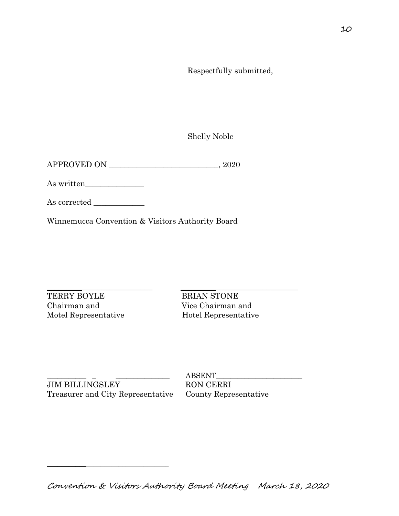Respectfully submitted,

Shelly Noble

APPROVED ON \_\_\_\_\_\_\_\_\_\_\_\_\_\_\_\_\_\_\_\_\_\_\_\_\_\_\_\_, 2020

As written\_\_\_\_\_\_\_\_\_\_\_\_\_\_\_

As corrected \_\_\_\_\_\_\_\_\_\_\_\_\_

Winnemucca Convention & Visitors Authority Board

TERRY BOYLE BRIAN STONE Chairman and Vice Chairman and Motel Representative Hotel Representative

\_\_\_\_\_\_\_\_\_\_\_\_\_\_\_\_\_\_\_\_\_\_\_\_\_\_\_ \_\_\_\_\_\_\_\_\_\_\_\_\_\_\_\_\_\_\_\_\_\_\_\_\_\_\_\_\_\_

JIM BILLINGSLEY RON CERRI Treasurer and City Representative County Representative

\_\_\_\_\_\_\_\_\_\_\_\_\_\_\_\_\_\_\_\_\_\_\_\_\_\_\_\_\_\_\_\_\_\_

 $\underline{ABSENT}$